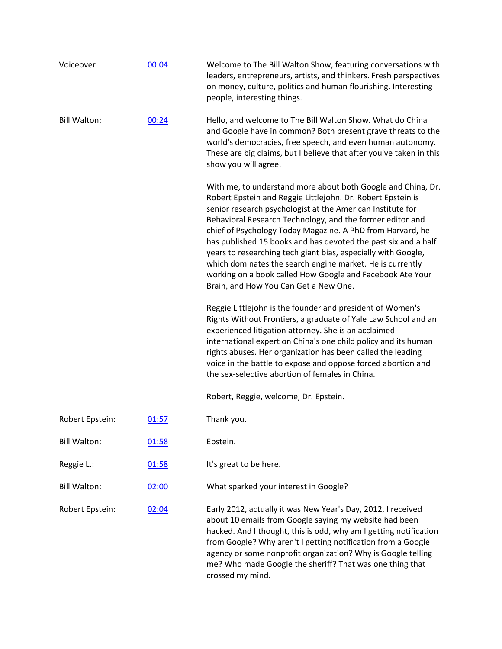| Voiceover:          | 00:04 | Welcome to The Bill Walton Show, featuring conversations with<br>leaders, entrepreneurs, artists, and thinkers. Fresh perspectives<br>on money, culture, politics and human flourishing. Interesting<br>people, interesting things.                                                                                                                                                                                                                                                                                                                                                                                        |
|---------------------|-------|----------------------------------------------------------------------------------------------------------------------------------------------------------------------------------------------------------------------------------------------------------------------------------------------------------------------------------------------------------------------------------------------------------------------------------------------------------------------------------------------------------------------------------------------------------------------------------------------------------------------------|
| <b>Bill Walton:</b> | 00:24 | Hello, and welcome to The Bill Walton Show. What do China<br>and Google have in common? Both present grave threats to the<br>world's democracies, free speech, and even human autonomy.<br>These are big claims, but I believe that after you've taken in this<br>show you will agree.                                                                                                                                                                                                                                                                                                                                     |
|                     |       | With me, to understand more about both Google and China, Dr.<br>Robert Epstein and Reggie Littlejohn. Dr. Robert Epstein is<br>senior research psychologist at the American Institute for<br>Behavioral Research Technology, and the former editor and<br>chief of Psychology Today Magazine. A PhD from Harvard, he<br>has published 15 books and has devoted the past six and a half<br>years to researching tech giant bias, especially with Google,<br>which dominates the search engine market. He is currently<br>working on a book called How Google and Facebook Ate Your<br>Brain, and How You Can Get a New One. |
|                     |       | Reggie Littlejohn is the founder and president of Women's<br>Rights Without Frontiers, a graduate of Yale Law School and an<br>experienced litigation attorney. She is an acclaimed<br>international expert on China's one child policy and its human<br>rights abuses. Her organization has been called the leading<br>voice in the battle to expose and oppose forced abortion and<br>the sex-selective abortion of females in China.                                                                                                                                                                                    |
|                     |       | Robert, Reggie, welcome, Dr. Epstein.                                                                                                                                                                                                                                                                                                                                                                                                                                                                                                                                                                                      |
| Robert Epstein:     | 01:57 | Thank you.                                                                                                                                                                                                                                                                                                                                                                                                                                                                                                                                                                                                                 |
| <b>Bill Walton:</b> | 01:58 | Epstein.                                                                                                                                                                                                                                                                                                                                                                                                                                                                                                                                                                                                                   |
| Reggie L.:          | 01:58 | It's great to be here.                                                                                                                                                                                                                                                                                                                                                                                                                                                                                                                                                                                                     |
| <b>Bill Walton:</b> | 02:00 | What sparked your interest in Google?                                                                                                                                                                                                                                                                                                                                                                                                                                                                                                                                                                                      |
| Robert Epstein:     | 02:04 | Early 2012, actually it was New Year's Day, 2012, I received<br>about 10 emails from Google saying my website had been<br>hacked. And I thought, this is odd, why am I getting notification<br>from Google? Why aren't I getting notification from a Google<br>agency or some nonprofit organization? Why is Google telling<br>me? Who made Google the sheriff? That was one thing that<br>crossed my mind.                                                                                                                                                                                                                |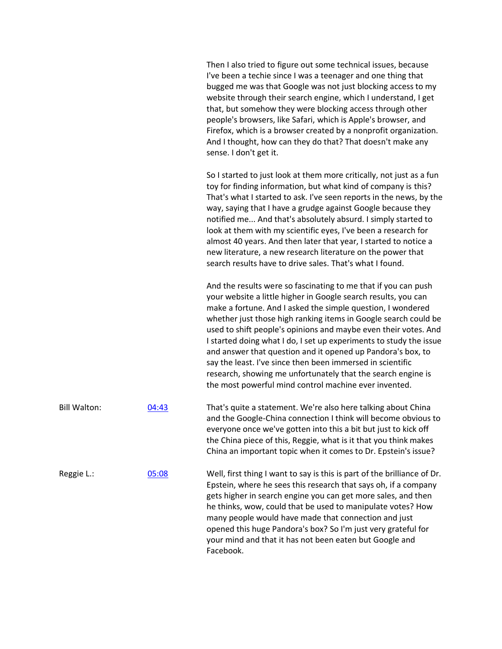|                     |       | Then I also tried to figure out some technical issues, because<br>I've been a techie since I was a teenager and one thing that<br>bugged me was that Google was not just blocking access to my<br>website through their search engine, which I understand, I get<br>that, but somehow they were blocking access through other<br>people's browsers, like Safari, which is Apple's browser, and<br>Firefox, which is a browser created by a nonprofit organization.<br>And I thought, how can they do that? That doesn't make any<br>sense. I don't get it.                                                                                                        |
|---------------------|-------|-------------------------------------------------------------------------------------------------------------------------------------------------------------------------------------------------------------------------------------------------------------------------------------------------------------------------------------------------------------------------------------------------------------------------------------------------------------------------------------------------------------------------------------------------------------------------------------------------------------------------------------------------------------------|
|                     |       | So I started to just look at them more critically, not just as a fun<br>toy for finding information, but what kind of company is this?<br>That's what I started to ask. I've seen reports in the news, by the<br>way, saying that I have a grudge against Google because they<br>notified me And that's absolutely absurd. I simply started to<br>look at them with my scientific eyes, I've been a research for<br>almost 40 years. And then later that year, I started to notice a<br>new literature, a new research literature on the power that<br>search results have to drive sales. That's what I found.                                                   |
|                     |       | And the results were so fascinating to me that if you can push<br>your website a little higher in Google search results, you can<br>make a fortune. And I asked the simple question, I wondered<br>whether just those high ranking items in Google search could be<br>used to shift people's opinions and maybe even their votes. And<br>I started doing what I do, I set up experiments to study the issue<br>and answer that question and it opened up Pandora's box, to<br>say the least. I've since then been immersed in scientific<br>research, showing me unfortunately that the search engine is<br>the most powerful mind control machine ever invented. |
| <b>Bill Walton:</b> | 04:43 | That's quite a statement. We're also here talking about China<br>and the Google-China connection I think will become obvious to<br>everyone once we've gotten into this a bit but just to kick off<br>the China piece of this, Reggie, what is it that you think makes<br>China an important topic when it comes to Dr. Epstein's issue?                                                                                                                                                                                                                                                                                                                          |
| Reggie L.:          | 05:08 | Well, first thing I want to say is this is part of the brilliance of Dr.<br>Epstein, where he sees this research that says oh, if a company<br>gets higher in search engine you can get more sales, and then<br>he thinks, wow, could that be used to manipulate votes? How<br>many people would have made that connection and just<br>opened this huge Pandora's box? So I'm just very grateful for<br>your mind and that it has not been eaten but Google and<br>Facebook.                                                                                                                                                                                      |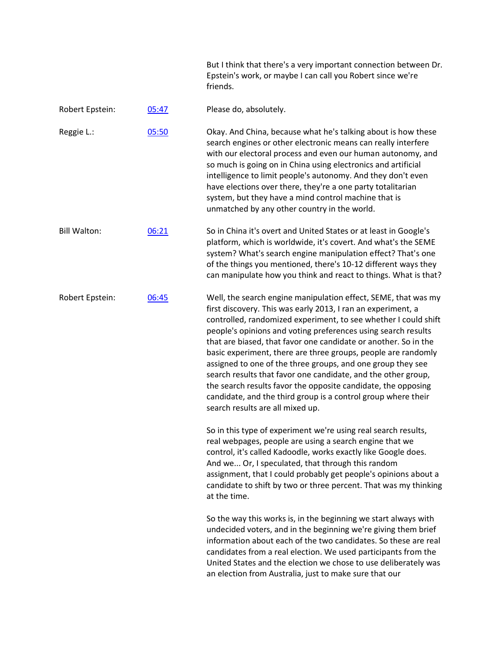|                     |       | But I think that there's a very important connection between Dr.<br>Epstein's work, or maybe I can call you Robert since we're<br>friends.                                                                                                                                                                                                                                                                                                                                                                                                                                                                                                                                                                   |
|---------------------|-------|--------------------------------------------------------------------------------------------------------------------------------------------------------------------------------------------------------------------------------------------------------------------------------------------------------------------------------------------------------------------------------------------------------------------------------------------------------------------------------------------------------------------------------------------------------------------------------------------------------------------------------------------------------------------------------------------------------------|
| Robert Epstein:     | 05:47 | Please do, absolutely.                                                                                                                                                                                                                                                                                                                                                                                                                                                                                                                                                                                                                                                                                       |
| Reggie L.:          | 05:50 | Okay. And China, because what he's talking about is how these<br>search engines or other electronic means can really interfere<br>with our electoral process and even our human autonomy, and<br>so much is going on in China using electronics and artificial<br>intelligence to limit people's autonomy. And they don't even<br>have elections over there, they're a one party totalitarian<br>system, but they have a mind control machine that is<br>unmatched by any other country in the world.                                                                                                                                                                                                        |
| <b>Bill Walton:</b> | 06:21 | So in China it's overt and United States or at least in Google's<br>platform, which is worldwide, it's covert. And what's the SEME<br>system? What's search engine manipulation effect? That's one<br>of the things you mentioned, there's 10-12 different ways they<br>can manipulate how you think and react to things. What is that?                                                                                                                                                                                                                                                                                                                                                                      |
| Robert Epstein:     | 06:45 | Well, the search engine manipulation effect, SEME, that was my<br>first discovery. This was early 2013, I ran an experiment, a<br>controlled, randomized experiment, to see whether I could shift<br>people's opinions and voting preferences using search results<br>that are biased, that favor one candidate or another. So in the<br>basic experiment, there are three groups, people are randomly<br>assigned to one of the three groups, and one group they see<br>search results that favor one candidate, and the other group,<br>the search results favor the opposite candidate, the opposing<br>candidate, and the third group is a control group where their<br>search results are all mixed up. |
|                     |       | So in this type of experiment we're using real search results,<br>real webpages, people are using a search engine that we<br>control, it's called Kadoodle, works exactly like Google does.<br>And we Or, I speculated, that through this random<br>assignment, that I could probably get people's opinions about a<br>candidate to shift by two or three percent. That was my thinking<br>at the time.                                                                                                                                                                                                                                                                                                      |
|                     |       | So the way this works is, in the beginning we start always with<br>$\mathcal{L}$ . The set of the set of the set of the set of the set of the set of the set of the set of the set of the set of the set of the set of the set of the set of the set of the set of the set of the set of the set of t                                                                                                                                                                                                                                                                                                                                                                                                        |

undecided voters, and in the beginning we're giving them brief information about each of the two candidates. So these are real candidates from a real election. We used participants from the United States and the election we chose to use deliberately was an election from Australia, just to make sure that our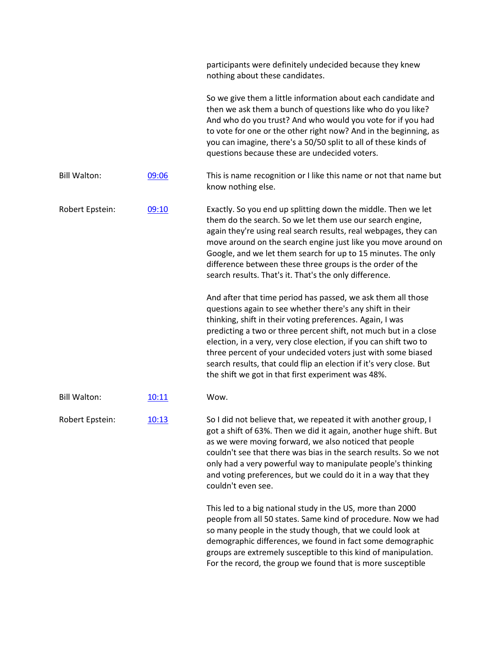|                     |       | participants were definitely undecided because they knew<br>nothing about these candidates.                                                                                                                                                                                                                                                                                                                                                                                                                                  |
|---------------------|-------|------------------------------------------------------------------------------------------------------------------------------------------------------------------------------------------------------------------------------------------------------------------------------------------------------------------------------------------------------------------------------------------------------------------------------------------------------------------------------------------------------------------------------|
|                     |       | So we give them a little information about each candidate and<br>then we ask them a bunch of questions like who do you like?<br>And who do you trust? And who would you vote for if you had<br>to vote for one or the other right now? And in the beginning, as<br>you can imagine, there's a 50/50 split to all of these kinds of<br>questions because these are undecided voters.                                                                                                                                          |
| <b>Bill Walton:</b> | 09:06 | This is name recognition or I like this name or not that name but<br>know nothing else.                                                                                                                                                                                                                                                                                                                                                                                                                                      |
| Robert Epstein:     | 09:10 | Exactly. So you end up splitting down the middle. Then we let<br>them do the search. So we let them use our search engine,<br>again they're using real search results, real webpages, they can<br>move around on the search engine just like you move around on<br>Google, and we let them search for up to 15 minutes. The only<br>difference between these three groups is the order of the<br>search results. That's it. That's the only difference.                                                                      |
|                     |       | And after that time period has passed, we ask them all those<br>questions again to see whether there's any shift in their<br>thinking, shift in their voting preferences. Again, I was<br>predicting a two or three percent shift, not much but in a close<br>election, in a very, very close election, if you can shift two to<br>three percent of your undecided voters just with some biased<br>search results, that could flip an election if it's very close. But<br>the shift we got in that first experiment was 48%. |
| <b>Bill Walton:</b> | 10:11 | Wow.                                                                                                                                                                                                                                                                                                                                                                                                                                                                                                                         |
| Robert Epstein:     | 10:13 | So I did not believe that, we repeated it with another group, I<br>got a shift of 63%. Then we did it again, another huge shift. But<br>as we were moving forward, we also noticed that people<br>couldn't see that there was bias in the search results. So we not<br>only had a very powerful way to manipulate people's thinking<br>and voting preferences, but we could do it in a way that they<br>couldn't even see.                                                                                                   |
|                     |       | This led to a big national study in the US, more than 2000<br>people from all 50 states. Same kind of procedure. Now we had<br>so many people in the study though, that we could look at<br>demographic differences, we found in fact some demographic<br>groups are extremely susceptible to this kind of manipulation.<br>For the record, the group we found that is more susceptible                                                                                                                                      |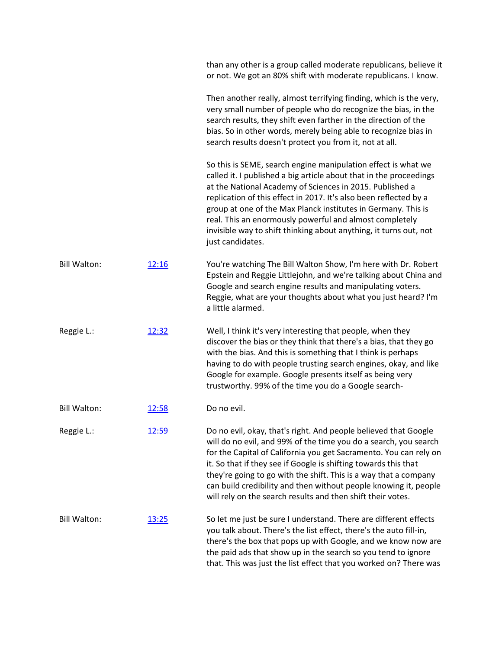|                     |       | than any other is a group called moderate republicans, believe it<br>or not. We got an 80% shift with moderate republicans. I know.                                                                                                                                                                                                                                                                                                                                                       |
|---------------------|-------|-------------------------------------------------------------------------------------------------------------------------------------------------------------------------------------------------------------------------------------------------------------------------------------------------------------------------------------------------------------------------------------------------------------------------------------------------------------------------------------------|
|                     |       | Then another really, almost terrifying finding, which is the very,<br>very small number of people who do recognize the bias, in the<br>search results, they shift even farther in the direction of the<br>bias. So in other words, merely being able to recognize bias in<br>search results doesn't protect you from it, not at all.                                                                                                                                                      |
|                     |       | So this is SEME, search engine manipulation effect is what we<br>called it. I published a big article about that in the proceedings<br>at the National Academy of Sciences in 2015. Published a<br>replication of this effect in 2017. It's also been reflected by a<br>group at one of the Max Planck institutes in Germany. This is<br>real. This an enormously powerful and almost completely<br>invisible way to shift thinking about anything, it turns out, not<br>just candidates. |
| <b>Bill Walton:</b> | 12:16 | You're watching The Bill Walton Show, I'm here with Dr. Robert<br>Epstein and Reggie Littlejohn, and we're talking about China and<br>Google and search engine results and manipulating voters.<br>Reggie, what are your thoughts about what you just heard? I'm<br>a little alarmed.                                                                                                                                                                                                     |
| Reggie L.:          | 12:32 | Well, I think it's very interesting that people, when they<br>discover the bias or they think that there's a bias, that they go<br>with the bias. And this is something that I think is perhaps<br>having to do with people trusting search engines, okay, and like<br>Google for example. Google presents itself as being very<br>trustworthy. 99% of the time you do a Google search-                                                                                                   |
| <b>Bill Walton:</b> | 12:58 | Do no evil.                                                                                                                                                                                                                                                                                                                                                                                                                                                                               |
| Reggie L.:          | 12:59 | Do no evil, okay, that's right. And people believed that Google<br>will do no evil, and 99% of the time you do a search, you search<br>for the Capital of California you get Sacramento. You can rely on<br>it. So that if they see if Google is shifting towards this that<br>they're going to go with the shift. This is a way that a company<br>can build credibility and then without people knowing it, people<br>will rely on the search results and then shift their votes.        |
| <b>Bill Walton:</b> | 13:25 | So let me just be sure I understand. There are different effects<br>you talk about. There's the list effect, there's the auto fill-in,<br>there's the box that pops up with Google, and we know now are<br>the paid ads that show up in the search so you tend to ignore<br>that. This was just the list effect that you worked on? There was                                                                                                                                             |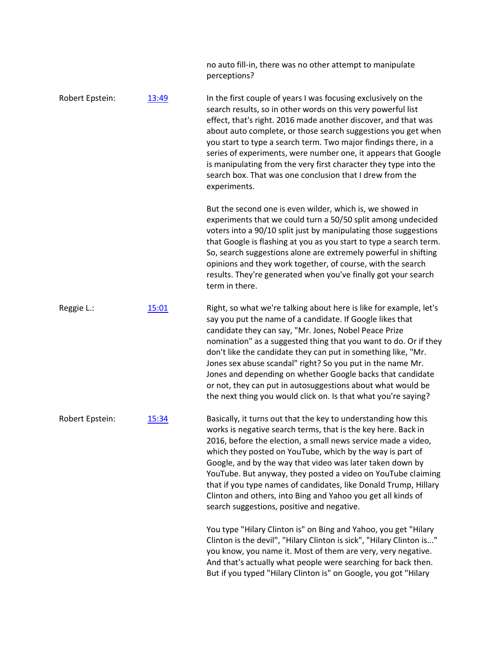|                 |       | no auto fill-in, there was no other attempt to manipulate<br>perceptions?                                                                                                                                                                                                                                                                                                                                                                                                                                                                                                                  |
|-----------------|-------|--------------------------------------------------------------------------------------------------------------------------------------------------------------------------------------------------------------------------------------------------------------------------------------------------------------------------------------------------------------------------------------------------------------------------------------------------------------------------------------------------------------------------------------------------------------------------------------------|
| Robert Epstein: | 13:49 | In the first couple of years I was focusing exclusively on the<br>search results, so in other words on this very powerful list<br>effect, that's right. 2016 made another discover, and that was<br>about auto complete, or those search suggestions you get when<br>you start to type a search term. Two major findings there, in a<br>series of experiments, were number one, it appears that Google<br>is manipulating from the very first character they type into the<br>search box. That was one conclusion that I drew from the<br>experiments.                                     |
|                 |       | But the second one is even wilder, which is, we showed in<br>experiments that we could turn a 50/50 split among undecided<br>voters into a 90/10 split just by manipulating those suggestions<br>that Google is flashing at you as you start to type a search term.<br>So, search suggestions alone are extremely powerful in shifting<br>opinions and they work together, of course, with the search<br>results. They're generated when you've finally got your search<br>term in there.                                                                                                  |
| Reggie L.:      | 15:01 | Right, so what we're talking about here is like for example, let's<br>say you put the name of a candidate. If Google likes that<br>candidate they can say, "Mr. Jones, Nobel Peace Prize<br>nomination" as a suggested thing that you want to do. Or if they<br>don't like the candidate they can put in something like, "Mr.<br>Jones sex abuse scandal" right? So you put in the name Mr.<br>Jones and depending on whether Google backs that candidate<br>or not, they can put in autosuggestions about what would be<br>the next thing you would click on. Is that what you're saying? |
| Robert Epstein: | 15:34 | Basically, it turns out that the key to understanding how this<br>works is negative search terms, that is the key here. Back in<br>2016, before the election, a small news service made a video,<br>which they posted on YouTube, which by the way is part of<br>Google, and by the way that video was later taken down by<br>YouTube. But anyway, they posted a video on YouTube claiming<br>that if you type names of candidates, like Donald Trump, Hillary<br>Clinton and others, into Bing and Yahoo you get all kinds of<br>search suggestions, positive and negative.               |
|                 |       | You type "Hilary Clinton is" on Bing and Yahoo, you get "Hilary<br>Clinton is the devil", "Hilary Clinton is sick", "Hilary Clinton is"<br>you know, you name it. Most of them are very, very negative.<br>And that's actually what people were searching for back then.<br>But if you typed "Hilary Clinton is" on Google, you got "Hilary                                                                                                                                                                                                                                                |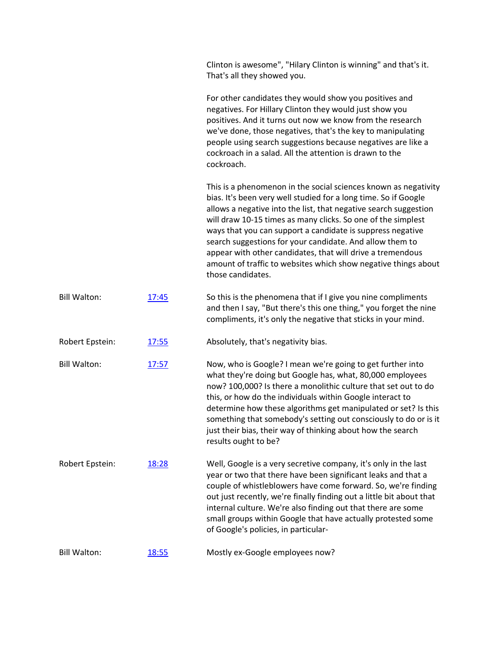Clinton is awesome", "Hilary Clinton is winning" and that's it. That's all they showed you.

For other candidates they would show you positives and negatives. For Hillary Clinton they would just show you positives. And it turns out now we know from the research we've done, those negatives, that's the key to manipulating people using search suggestions because negatives are like a cockroach in a salad. All the attention is drawn to the cockroach.

This is a phenomenon in the social sciences known as negativity bias. It's been very well studied for a long time. So if Google allows a negative into the list, that negative search suggestion will draw 10-15 times as many clicks. So one of the simplest ways that you can support a candidate is suppress negative search suggestions for your candidate. And allow them to appear with other candidates, that will drive a tremendous amount of traffic to websites which show negative things about those candidates.

Bill Walton: [17:45](https://www.rev.com/transcript-editor/Edit?token=-jQGXg9Z2h2TP8_owox59YaV6QTeptPVHLO45ueiTWWtZwckQOtqN-BjKxVvUM3j5JWsHAVYPrYHxNizSJBbQrich50&loadFrom=DocumentDeeplink&ts=1065.79) So this is the phenomena that if I give you nine compliments and then I say, "But there's this one thing," you forget the nine compliments, it's only the negative that sticks in your mind.

## Robert Epstein: [17:55](https://www.rev.com/transcript-editor/Edit?token=XT2NONOe260llEMe4I5x9uQ6Ntmd5mZ9jx4zL2_3pLu2E7fOZRqGYP-QNnBsxA-9mWmk4AcLoUU55HAgxNyoVnLSZC8&loadFrom=DocumentDeeplink&ts=1075.43) Absolutely, that's negativity bias.

- Bill Walton: [17:57](https://www.rev.com/transcript-editor/Edit?token=bzLISw9wBvsIK6DbVikomQ5zT29807Ee-c9o4oyybAJzTp2MnlrvRWcOR6dhAgKtzPfI8BWKleBPmYG3DL5H0QpKANU&loadFrom=DocumentDeeplink&ts=1077.33) Now, who is Google? I mean we're going to get further into what they're doing but Google has, what, 80,000 employees now? 100,000? Is there a monolithic culture that set out to do this, or how do the individuals within Google interact to determine how these algorithms get manipulated or set? Is this something that somebody's setting out consciously to do or is it just their bias, their way of thinking about how the search results ought to be?
- Robert Epstein: [18:28](https://www.rev.com/transcript-editor/Edit?token=tGgzPfnnAQSK0R0CfdQQUBImR4gWJ000LAauD-3gqiOSad_NHSSRE8RzfZXiS1zuRVJOTfS7OtydvVMy7HfbZmBJHXs&loadFrom=DocumentDeeplink&ts=1108.13) Well, Google is a very secretive company, it's only in the last year or two that there have been significant leaks and that a couple of whistleblowers have come forward. So, we're finding out just recently, we're finally finding out a little bit about that internal culture. We're also finding out that there are some small groups within Google that have actually protested some of Google's policies, in particular-

Bill Walton: [18:55](https://www.rev.com/transcript-editor/Edit?token=M0ZuRsnriMrhZvfykxSg9U9G9P35h_fl4C9reZSdtL-ZKtFZ3jgwp31KftzhsNXzFhUH-vzZ3Cc4oOJ8-XmCDct9804&loadFrom=DocumentDeeplink&ts=1135.15) Mostly ex-Google employees now?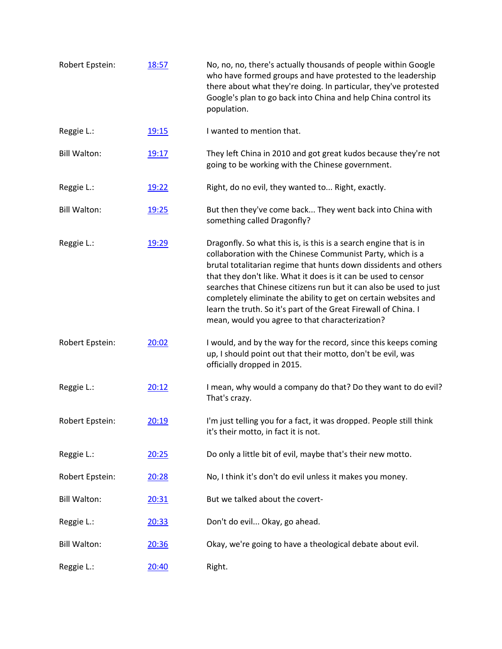| Robert Epstein:     | 18:57 | No, no, no, there's actually thousands of people within Google<br>who have formed groups and have protested to the leadership<br>there about what they're doing. In particular, they've protested<br>Google's plan to go back into China and help China control its<br>population.                                                                                                                                                                                                                                                   |
|---------------------|-------|--------------------------------------------------------------------------------------------------------------------------------------------------------------------------------------------------------------------------------------------------------------------------------------------------------------------------------------------------------------------------------------------------------------------------------------------------------------------------------------------------------------------------------------|
| Reggie L.:          | 19:15 | I wanted to mention that.                                                                                                                                                                                                                                                                                                                                                                                                                                                                                                            |
| <b>Bill Walton:</b> | 19:17 | They left China in 2010 and got great kudos because they're not<br>going to be working with the Chinese government.                                                                                                                                                                                                                                                                                                                                                                                                                  |
| Reggie L.:          | 19:22 | Right, do no evil, they wanted to Right, exactly.                                                                                                                                                                                                                                                                                                                                                                                                                                                                                    |
| <b>Bill Walton:</b> | 19:25 | But then they've come back They went back into China with<br>something called Dragonfly?                                                                                                                                                                                                                                                                                                                                                                                                                                             |
| Reggie L.:          | 19:29 | Dragonfly. So what this is, is this is a search engine that is in<br>collaboration with the Chinese Communist Party, which is a<br>brutal totalitarian regime that hunts down dissidents and others<br>that they don't like. What it does is it can be used to censor<br>searches that Chinese citizens run but it can also be used to just<br>completely eliminate the ability to get on certain websites and<br>learn the truth. So it's part of the Great Firewall of China. I<br>mean, would you agree to that characterization? |
| Robert Epstein:     | 20:02 | I would, and by the way for the record, since this keeps coming<br>up, I should point out that their motto, don't be evil, was<br>officially dropped in 2015.                                                                                                                                                                                                                                                                                                                                                                        |
| Reggie L.:          | 20:12 | I mean, why would a company do that? Do they want to do evil?<br>That's crazy.                                                                                                                                                                                                                                                                                                                                                                                                                                                       |
| Robert Epstein:     | 20:19 | I'm just telling you for a fact, it was dropped. People still think<br>it's their motto, in fact it is not.                                                                                                                                                                                                                                                                                                                                                                                                                          |
| Reggie L.:          | 20:25 | Do only a little bit of evil, maybe that's their new motto.                                                                                                                                                                                                                                                                                                                                                                                                                                                                          |
| Robert Epstein:     | 20:28 | No, I think it's don't do evil unless it makes you money.                                                                                                                                                                                                                                                                                                                                                                                                                                                                            |
| <b>Bill Walton:</b> | 20:31 | But we talked about the covert-                                                                                                                                                                                                                                                                                                                                                                                                                                                                                                      |
| Reggie L.:          | 20:33 | Don't do evil Okay, go ahead.                                                                                                                                                                                                                                                                                                                                                                                                                                                                                                        |
| <b>Bill Walton:</b> | 20:36 | Okay, we're going to have a theological debate about evil.                                                                                                                                                                                                                                                                                                                                                                                                                                                                           |
| Reggie L.:          | 20:40 | Right.                                                                                                                                                                                                                                                                                                                                                                                                                                                                                                                               |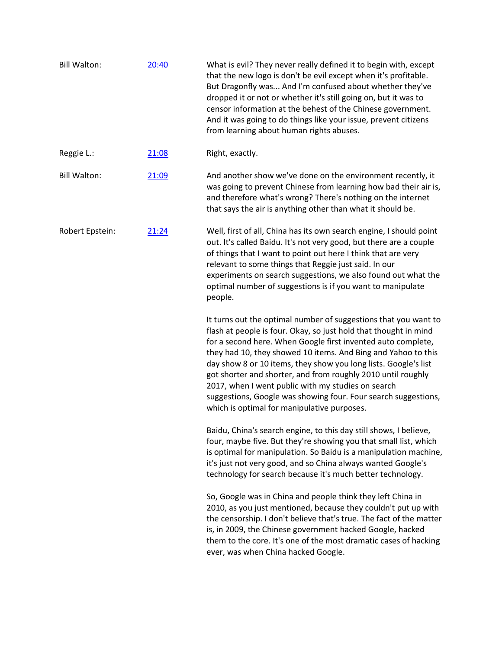| <b>Bill Walton:</b> | 20:40 | What is evil? They never really defined it to begin with, except<br>that the new logo is don't be evil except when it's profitable.<br>But Dragonfly was And I'm confused about whether they've<br>dropped it or not or whether it's still going on, but it was to<br>censor information at the behest of the Chinese government.<br>And it was going to do things like your issue, prevent citizens<br>from learning about human rights abuses.                                                                                                                               |
|---------------------|-------|--------------------------------------------------------------------------------------------------------------------------------------------------------------------------------------------------------------------------------------------------------------------------------------------------------------------------------------------------------------------------------------------------------------------------------------------------------------------------------------------------------------------------------------------------------------------------------|
| Reggie L.:          | 21:08 | Right, exactly.                                                                                                                                                                                                                                                                                                                                                                                                                                                                                                                                                                |
| <b>Bill Walton:</b> | 21:09 | And another show we've done on the environment recently, it<br>was going to prevent Chinese from learning how bad their air is,<br>and therefore what's wrong? There's nothing on the internet<br>that says the air is anything other than what it should be.                                                                                                                                                                                                                                                                                                                  |
| Robert Epstein:     | 21:24 | Well, first of all, China has its own search engine, I should point<br>out. It's called Baidu. It's not very good, but there are a couple<br>of things that I want to point out here I think that are very<br>relevant to some things that Reggie just said. In our<br>experiments on search suggestions, we also found out what the<br>optimal number of suggestions is if you want to manipulate<br>people.                                                                                                                                                                  |
|                     |       | It turns out the optimal number of suggestions that you want to<br>flash at people is four. Okay, so just hold that thought in mind<br>for a second here. When Google first invented auto complete,<br>they had 10, they showed 10 items. And Bing and Yahoo to this<br>day show 8 or 10 items, they show you long lists. Google's list<br>got shorter and shorter, and from roughly 2010 until roughly<br>2017, when I went public with my studies on search<br>suggestions, Google was showing four. Four search suggestions,<br>which is optimal for manipulative purposes. |
|                     |       | Baidu, China's search engine, to this day still shows, I believe,<br>four, maybe five. But they're showing you that small list, which<br>is optimal for manipulation. So Baidu is a manipulation machine,<br>it's just not very good, and so China always wanted Google's<br>technology for search because it's much better technology.                                                                                                                                                                                                                                        |
|                     |       | So, Google was in China and people think they left China in<br>2010, as you just mentioned, because they couldn't put up with<br>the censorship. I don't believe that's true. The fact of the matter<br>is, in 2009, the Chinese government hacked Google, hacked<br>them to the core. It's one of the most dramatic cases of hacking<br>ever, was when China hacked Google.                                                                                                                                                                                                   |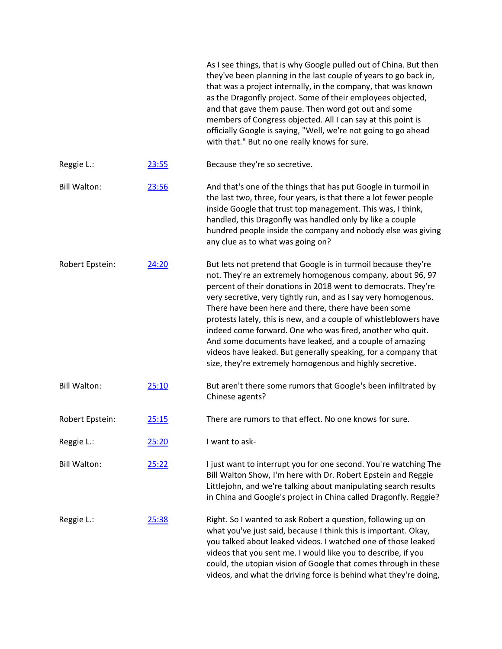|                     |       | As I see things, that is why Google pulled out of China. But then<br>they've been planning in the last couple of years to go back in,<br>that was a project internally, in the company, that was known<br>as the Dragonfly project. Some of their employees objected,<br>and that gave them pause. Then word got out and some<br>members of Congress objected. All I can say at this point is<br>officially Google is saying, "Well, we're not going to go ahead<br>with that." But no one really knows for sure.                                                                                                                                   |
|---------------------|-------|-----------------------------------------------------------------------------------------------------------------------------------------------------------------------------------------------------------------------------------------------------------------------------------------------------------------------------------------------------------------------------------------------------------------------------------------------------------------------------------------------------------------------------------------------------------------------------------------------------------------------------------------------------|
| Reggie L.:          | 23:55 | Because they're so secretive.                                                                                                                                                                                                                                                                                                                                                                                                                                                                                                                                                                                                                       |
| <b>Bill Walton:</b> | 23:56 | And that's one of the things that has put Google in turmoil in<br>the last two, three, four years, is that there a lot fewer people<br>inside Google that trust top management. This was, I think,<br>handled, this Dragonfly was handled only by like a couple<br>hundred people inside the company and nobody else was giving<br>any clue as to what was going on?                                                                                                                                                                                                                                                                                |
| Robert Epstein:     | 24:20 | But lets not pretend that Google is in turmoil because they're<br>not. They're an extremely homogenous company, about 96, 97<br>percent of their donations in 2018 went to democrats. They're<br>very secretive, very tightly run, and as I say very homogenous.<br>There have been here and there, there have been some<br>protests lately, this is new, and a couple of whistleblowers have<br>indeed come forward. One who was fired, another who quit.<br>And some documents have leaked, and a couple of amazing<br>videos have leaked. But generally speaking, for a company that<br>size, they're extremely homogenous and highly secretive. |
| <b>Bill Walton:</b> | 25:10 | But aren't there some rumors that Google's been infiltrated by<br>Chinese agents?                                                                                                                                                                                                                                                                                                                                                                                                                                                                                                                                                                   |
| Robert Epstein:     | 25:15 | There are rumors to that effect. No one knows for sure.                                                                                                                                                                                                                                                                                                                                                                                                                                                                                                                                                                                             |
| Reggie L.:          | 25:20 | I want to ask-                                                                                                                                                                                                                                                                                                                                                                                                                                                                                                                                                                                                                                      |
| <b>Bill Walton:</b> | 25:22 | I just want to interrupt you for one second. You're watching The<br>Bill Walton Show, I'm here with Dr. Robert Epstein and Reggie<br>Littlejohn, and we're talking about manipulating search results<br>in China and Google's project in China called Dragonfly. Reggie?                                                                                                                                                                                                                                                                                                                                                                            |
| Reggie L.:          | 25:38 | Right. So I wanted to ask Robert a question, following up on<br>what you've just said, because I think this is important. Okay,<br>you talked about leaked videos. I watched one of those leaked<br>videos that you sent me. I would like you to describe, if you<br>could, the utopian vision of Google that comes through in these<br>videos, and what the driving force is behind what they're doing,                                                                                                                                                                                                                                            |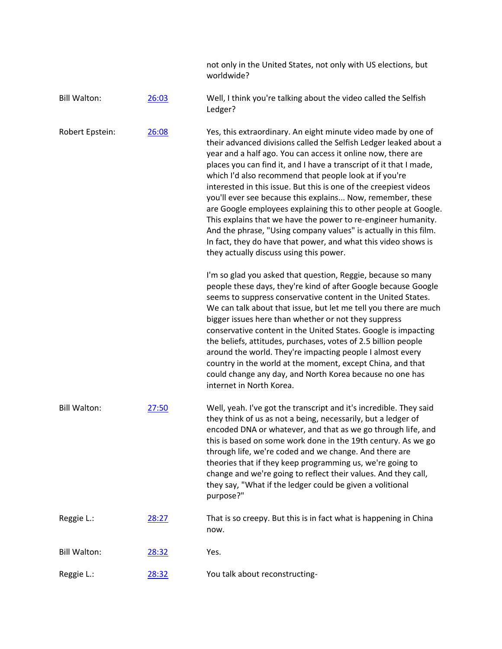|                     |       | not only in the United States, not only with US elections, but<br>worldwide?                                                                                                                                                                                                                                                                                                                                                                                                                                                                                                                                                                                                                                                                                                               |
|---------------------|-------|--------------------------------------------------------------------------------------------------------------------------------------------------------------------------------------------------------------------------------------------------------------------------------------------------------------------------------------------------------------------------------------------------------------------------------------------------------------------------------------------------------------------------------------------------------------------------------------------------------------------------------------------------------------------------------------------------------------------------------------------------------------------------------------------|
| <b>Bill Walton:</b> | 26:03 | Well, I think you're talking about the video called the Selfish<br>Ledger?                                                                                                                                                                                                                                                                                                                                                                                                                                                                                                                                                                                                                                                                                                                 |
| Robert Epstein:     | 26:08 | Yes, this extraordinary. An eight minute video made by one of<br>their advanced divisions called the Selfish Ledger leaked about a<br>year and a half ago. You can access it online now, there are<br>places you can find it, and I have a transcript of it that I made,<br>which I'd also recommend that people look at if you're<br>interested in this issue. But this is one of the creepiest videos<br>you'll ever see because this explains Now, remember, these<br>are Google employees explaining this to other people at Google.<br>This explains that we have the power to re-engineer humanity.<br>And the phrase, "Using company values" is actually in this film.<br>In fact, they do have that power, and what this video shows is<br>they actually discuss using this power. |
|                     |       | I'm so glad you asked that question, Reggie, because so many<br>people these days, they're kind of after Google because Google<br>seems to suppress conservative content in the United States.<br>We can talk about that issue, but let me tell you there are much<br>bigger issues here than whether or not they suppress<br>conservative content in the United States. Google is impacting<br>the beliefs, attitudes, purchases, votes of 2.5 billion people<br>around the world. They're impacting people I almost every<br>country in the world at the moment, except China, and that<br>could change any day, and North Korea because no one has<br>internet in North Korea.                                                                                                          |
| <b>Bill Walton:</b> | 27:50 | Well, yeah. I've got the transcript and it's incredible. They said<br>they think of us as not a being, necessarily, but a ledger of<br>encoded DNA or whatever, and that as we go through life, and<br>this is based on some work done in the 19th century. As we go<br>through life, we're coded and we change. And there are<br>theories that if they keep programming us, we're going to<br>change and we're going to reflect their values. And they call,<br>they say, "What if the ledger could be given a volitional<br>purpose?"                                                                                                                                                                                                                                                    |
| Reggie L.:          | 28:27 | That is so creepy. But this is in fact what is happening in China<br>now.                                                                                                                                                                                                                                                                                                                                                                                                                                                                                                                                                                                                                                                                                                                  |
| <b>Bill Walton:</b> | 28:32 | Yes.                                                                                                                                                                                                                                                                                                                                                                                                                                                                                                                                                                                                                                                                                                                                                                                       |
| Reggie L.:          | 28:32 | You talk about reconstructing-                                                                                                                                                                                                                                                                                                                                                                                                                                                                                                                                                                                                                                                                                                                                                             |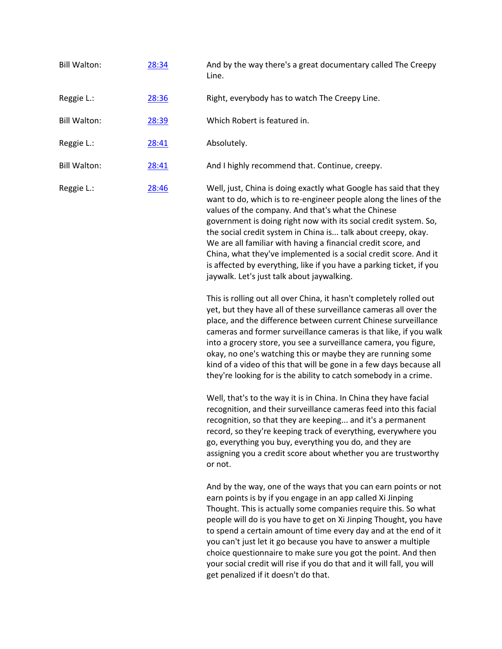| <b>Bill Walton:</b> | 28:34        | And by the way there's a great documentary called The Creepy<br>Line.                                                                                                                                                                                                                                                                                                                                                                                                                                                                                                                        |
|---------------------|--------------|----------------------------------------------------------------------------------------------------------------------------------------------------------------------------------------------------------------------------------------------------------------------------------------------------------------------------------------------------------------------------------------------------------------------------------------------------------------------------------------------------------------------------------------------------------------------------------------------|
| Reggie L.:          | 28:36        | Right, everybody has to watch The Creepy Line.                                                                                                                                                                                                                                                                                                                                                                                                                                                                                                                                               |
| <b>Bill Walton:</b> | 28:39        | Which Robert is featured in.                                                                                                                                                                                                                                                                                                                                                                                                                                                                                                                                                                 |
| Reggie L.:          | <u>28:41</u> | Absolutely.                                                                                                                                                                                                                                                                                                                                                                                                                                                                                                                                                                                  |
| <b>Bill Walton:</b> | 28:41        | And I highly recommend that. Continue, creepy.                                                                                                                                                                                                                                                                                                                                                                                                                                                                                                                                               |
| Reggie L.:          | 28:46        | Well, just, China is doing exactly what Google has said that they<br>want to do, which is to re-engineer people along the lines of the<br>values of the company. And that's what the Chinese<br>government is doing right now with its social credit system. So,<br>the social credit system in China is talk about creepy, okay.<br>We are all familiar with having a financial credit score, and<br>China, what they've implemented is a social credit score. And it<br>is affected by everything, like if you have a parking ticket, if you<br>jaywalk. Let's just talk about jaywalking. |

This is rolling out all over China, it hasn't completely rolled out yet, but they have all of these surveillance cameras all over the place, and the difference between current Chinese surveillance cameras and former surveillance cameras is that like, if you walk into a grocery store, you see a surveillance camera, you figure, okay, no one's watching this or maybe they are running some kind of a video of this that will be gone in a few days because all they're looking for is the ability to catch somebody in a crime.

Well, that's to the way it is in China. In China they have facial recognition, and their surveillance cameras feed into this facial recognition, so that they are keeping... and it's a permanent record, so they're keeping track of everything, everywhere you go, everything you buy, everything you do, and they are assigning you a credit score about whether you are trustworthy or not.

And by the way, one of the ways that you can earn points or not earn points is by if you engage in an app called Xi Jinping Thought. This is actually some companies require this. So what people will do is you have to get on Xi Jinping Thought, you have to spend a certain amount of time every day and at the end of it you can't just let it go because you have to answer a multiple choice questionnaire to make sure you got the point. And then your social credit will rise if you do that and it will fall, you will get penalized if it doesn't do that.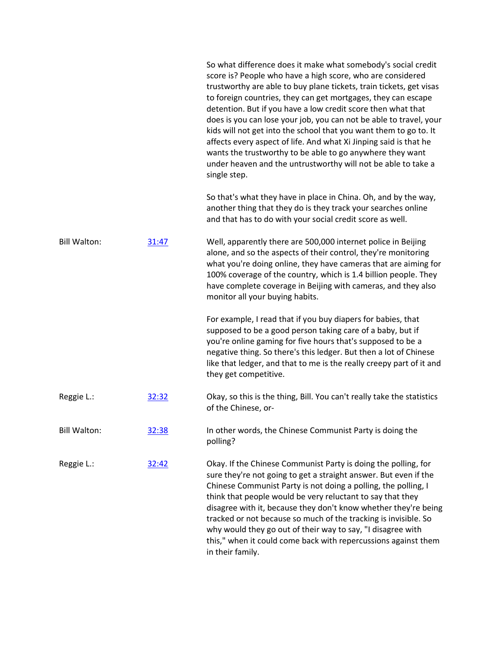|                     |       | So what difference does it make what somebody's social credit<br>score is? People who have a high score, who are considered<br>trustworthy are able to buy plane tickets, train tickets, get visas<br>to foreign countries, they can get mortgages, they can escape<br>detention. But if you have a low credit score then what that<br>does is you can lose your job, you can not be able to travel, your<br>kids will not get into the school that you want them to go to. It<br>affects every aspect of life. And what Xi Jinping said is that he<br>wants the trustworthy to be able to go anywhere they want<br>under heaven and the untrustworthy will not be able to take a<br>single step.<br>So that's what they have in place in China. Oh, and by the way,<br>another thing that they do is they track your searches online |
|---------------------|-------|---------------------------------------------------------------------------------------------------------------------------------------------------------------------------------------------------------------------------------------------------------------------------------------------------------------------------------------------------------------------------------------------------------------------------------------------------------------------------------------------------------------------------------------------------------------------------------------------------------------------------------------------------------------------------------------------------------------------------------------------------------------------------------------------------------------------------------------|
|                     |       | and that has to do with your social credit score as well.                                                                                                                                                                                                                                                                                                                                                                                                                                                                                                                                                                                                                                                                                                                                                                             |
| <b>Bill Walton:</b> | 31:47 | Well, apparently there are 500,000 internet police in Beijing<br>alone, and so the aspects of their control, they're monitoring<br>what you're doing online, they have cameras that are aiming for<br>100% coverage of the country, which is 1.4 billion people. They<br>have complete coverage in Beijing with cameras, and they also<br>monitor all your buying habits.                                                                                                                                                                                                                                                                                                                                                                                                                                                             |
|                     |       | For example, I read that if you buy diapers for babies, that<br>supposed to be a good person taking care of a baby, but if<br>you're online gaming for five hours that's supposed to be a<br>negative thing. So there's this ledger. But then a lot of Chinese<br>like that ledger, and that to me is the really creepy part of it and<br>they get competitive.                                                                                                                                                                                                                                                                                                                                                                                                                                                                       |
| Reggie L.:          | 32:32 | Okay, so this is the thing, Bill. You can't really take the statistics<br>of the Chinese, or-                                                                                                                                                                                                                                                                                                                                                                                                                                                                                                                                                                                                                                                                                                                                         |
| <b>Bill Walton:</b> | 32:38 | In other words, the Chinese Communist Party is doing the<br>polling?                                                                                                                                                                                                                                                                                                                                                                                                                                                                                                                                                                                                                                                                                                                                                                  |
| Reggie L.:          | 32:42 | Okay. If the Chinese Communist Party is doing the polling, for<br>sure they're not going to get a straight answer. But even if the<br>Chinese Communist Party is not doing a polling, the polling, I<br>think that people would be very reluctant to say that they<br>disagree with it, because they don't know whether they're being<br>tracked or not because so much of the tracking is invisible. So<br>why would they go out of their way to say, "I disagree with<br>this," when it could come back with repercussions against them<br>in their family.                                                                                                                                                                                                                                                                         |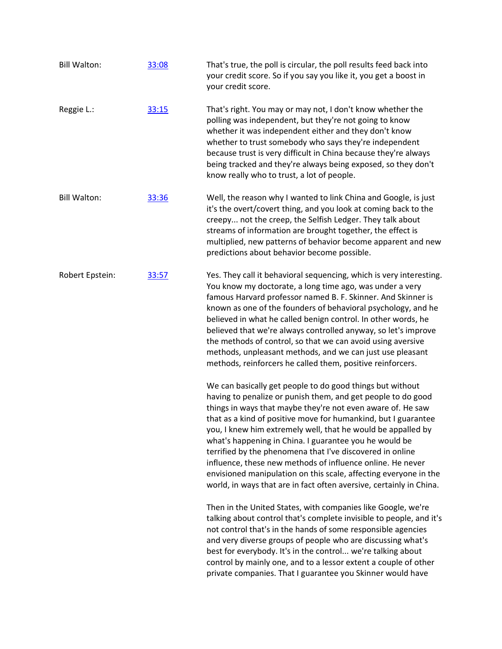| Bill Walton:        | 33:08 | That's true, the poll is circular, the poll results feed back into<br>your credit score. So if you say you like it, you get a boost in<br>your credit score.                                                                                                                                                                                                                                                                                                                                                                                                                                                                                               |
|---------------------|-------|------------------------------------------------------------------------------------------------------------------------------------------------------------------------------------------------------------------------------------------------------------------------------------------------------------------------------------------------------------------------------------------------------------------------------------------------------------------------------------------------------------------------------------------------------------------------------------------------------------------------------------------------------------|
| Reggie L.:          | 33:15 | That's right. You may or may not, I don't know whether the<br>polling was independent, but they're not going to know<br>whether it was independent either and they don't know<br>whether to trust somebody who says they're independent<br>because trust is very difficult in China because they're always<br>being tracked and they're always being exposed, so they don't<br>know really who to trust, a lot of people.                                                                                                                                                                                                                                  |
| <b>Bill Walton:</b> | 33:36 | Well, the reason why I wanted to link China and Google, is just<br>it's the overt/covert thing, and you look at coming back to the<br>creepy not the creep, the Selfish Ledger. They talk about<br>streams of information are brought together, the effect is<br>multiplied, new patterns of behavior become apparent and new<br>predictions about behavior become possible.                                                                                                                                                                                                                                                                               |
| Robert Epstein:     | 33:57 | Yes. They call it behavioral sequencing, which is very interesting.<br>You know my doctorate, a long time ago, was under a very<br>famous Harvard professor named B. F. Skinner. And Skinner is<br>known as one of the founders of behavioral psychology, and he<br>believed in what he called benign control. In other words, he<br>believed that we're always controlled anyway, so let's improve<br>the methods of control, so that we can avoid using aversive<br>methods, unpleasant methods, and we can just use pleasant<br>methods, reinforcers he called them, positive reinforcers.                                                              |
|                     |       | We can basically get people to do good things but without<br>having to penalize or punish them, and get people to do good<br>things in ways that maybe they're not even aware of. He saw<br>that as a kind of positive move for humankind, but I guarantee<br>you, I knew him extremely well, that he would be appalled by<br>what's happening in China. I guarantee you he would be<br>terrified by the phenomena that I've discovered in online<br>influence, these new methods of influence online. He never<br>envisioned manipulation on this scale, affecting everyone in the<br>world, in ways that are in fact often aversive, certainly in China. |
|                     |       | Then in the United States, with companies like Google, we're<br>talking about control that's complete invisible to people, and it's<br>not control that's in the hands of some responsible agencies<br>and very diverse groups of people who are discussing what's<br>best for everybody. It's in the control we're talking about<br>control by mainly one, and to a lessor extent a couple of other<br>private companies. That I guarantee you Skinner would have                                                                                                                                                                                         |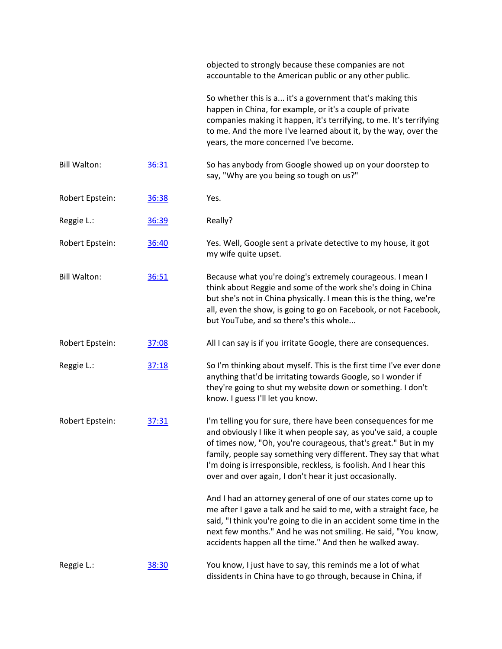|                     |       | objected to strongly because these companies are not<br>accountable to the American public or any other public.                                                                                                                                                                                                                                                                                         |
|---------------------|-------|---------------------------------------------------------------------------------------------------------------------------------------------------------------------------------------------------------------------------------------------------------------------------------------------------------------------------------------------------------------------------------------------------------|
|                     |       | So whether this is a it's a government that's making this<br>happen in China, for example, or it's a couple of private<br>companies making it happen, it's terrifying, to me. It's terrifying<br>to me. And the more I've learned about it, by the way, over the<br>years, the more concerned I've become.                                                                                              |
| <b>Bill Walton:</b> | 36:31 | So has anybody from Google showed up on your doorstep to<br>say, "Why are you being so tough on us?"                                                                                                                                                                                                                                                                                                    |
| Robert Epstein:     | 36:38 | Yes.                                                                                                                                                                                                                                                                                                                                                                                                    |
| Reggie L.:          | 36:39 | Really?                                                                                                                                                                                                                                                                                                                                                                                                 |
| Robert Epstein:     | 36:40 | Yes. Well, Google sent a private detective to my house, it got<br>my wife quite upset.                                                                                                                                                                                                                                                                                                                  |
| <b>Bill Walton:</b> | 36:51 | Because what you're doing's extremely courageous. I mean I<br>think about Reggie and some of the work she's doing in China<br>but she's not in China physically. I mean this is the thing, we're<br>all, even the show, is going to go on Facebook, or not Facebook,<br>but YouTube, and so there's this whole                                                                                          |
| Robert Epstein:     | 37:08 | All I can say is if you irritate Google, there are consequences.                                                                                                                                                                                                                                                                                                                                        |
| Reggie L.:          | 37:18 | So I'm thinking about myself. This is the first time I've ever done<br>anything that'd be irritating towards Google, so I wonder if<br>they're going to shut my website down or something. I don't<br>know. I guess I'll let you know.                                                                                                                                                                  |
| Robert Epstein:     | 37:31 | I'm telling you for sure, there have been consequences for me<br>and obviously I like it when people say, as you've said, a couple<br>of times now, "Oh, you're courageous, that's great." But in my<br>family, people say something very different. They say that what<br>I'm doing is irresponsible, reckless, is foolish. And I hear this<br>over and over again, I don't hear it just occasionally. |
|                     |       | And I had an attorney general of one of our states come up to<br>me after I gave a talk and he said to me, with a straight face, he<br>said, "I think you're going to die in an accident some time in the<br>next few months." And he was not smiling. He said, "You know,<br>accidents happen all the time." And then he walked away.                                                                  |
| Reggie L.:          | 38:30 | You know, I just have to say, this reminds me a lot of what<br>dissidents in China have to go through, because in China, if                                                                                                                                                                                                                                                                             |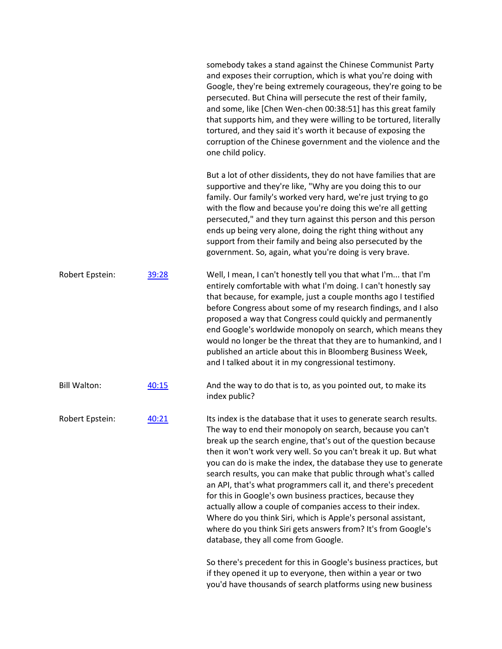|                     |       | somebody takes a stand against the Chinese Communist Party<br>and exposes their corruption, which is what you're doing with<br>Google, they're being extremely courageous, they're going to be<br>persecuted. But China will persecute the rest of their family,<br>and some, like [Chen Wen-chen 00:38:51] has this great family<br>that supports him, and they were willing to be tortured, literally<br>tortured, and they said it's worth it because of exposing the<br>corruption of the Chinese government and the violence and the<br>one child policy.                                                                                                                                                                                                                      |
|---------------------|-------|-------------------------------------------------------------------------------------------------------------------------------------------------------------------------------------------------------------------------------------------------------------------------------------------------------------------------------------------------------------------------------------------------------------------------------------------------------------------------------------------------------------------------------------------------------------------------------------------------------------------------------------------------------------------------------------------------------------------------------------------------------------------------------------|
|                     |       | But a lot of other dissidents, they do not have families that are<br>supportive and they're like, "Why are you doing this to our<br>family. Our family's worked very hard, we're just trying to go<br>with the flow and because you're doing this we're all getting<br>persecuted," and they turn against this person and this person<br>ends up being very alone, doing the right thing without any<br>support from their family and being also persecuted by the<br>government. So, again, what you're doing is very brave.                                                                                                                                                                                                                                                       |
| Robert Epstein:     | 39:28 | Well, I mean, I can't honestly tell you that what I'm that I'm<br>entirely comfortable with what I'm doing. I can't honestly say<br>that because, for example, just a couple months ago I testified<br>before Congress about some of my research findings, and I also<br>proposed a way that Congress could quickly and permanently<br>end Google's worldwide monopoly on search, which means they<br>would no longer be the threat that they are to humankind, and I<br>published an article about this in Bloomberg Business Week,<br>and I talked about it in my congressional testimony.                                                                                                                                                                                        |
| <b>Bill Walton:</b> | 40:15 | And the way to do that is to, as you pointed out, to make its<br>index public?                                                                                                                                                                                                                                                                                                                                                                                                                                                                                                                                                                                                                                                                                                      |
| Robert Epstein:     | 40:21 | Its index is the database that it uses to generate search results.<br>The way to end their monopoly on search, because you can't<br>break up the search engine, that's out of the question because<br>then it won't work very well. So you can't break it up. But what<br>you can do is make the index, the database they use to generate<br>search results, you can make that public through what's called<br>an API, that's what programmers call it, and there's precedent<br>for this in Google's own business practices, because they<br>actually allow a couple of companies access to their index.<br>Where do you think Siri, which is Apple's personal assistant,<br>where do you think Siri gets answers from? It's from Google's<br>database, they all come from Google. |
|                     |       | So there's precedent for this in Google's business practices, but<br>if they opened it up to everyone, then within a year or two<br>you'd have thousands of search platforms using new business                                                                                                                                                                                                                                                                                                                                                                                                                                                                                                                                                                                     |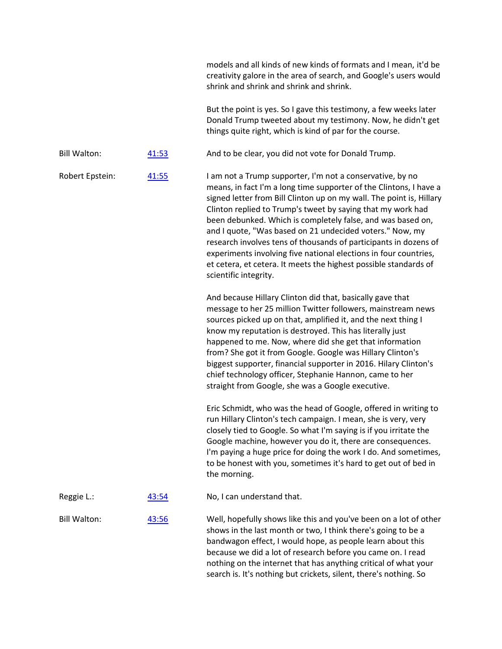|                     |       | models and all kinds of new kinds of formats and I mean, it'd be<br>creativity galore in the area of search, and Google's users would<br>shrink and shrink and shrink and shrink.                                                                                                                                                                                                                                                                                                                                                                                                                                                      |
|---------------------|-------|----------------------------------------------------------------------------------------------------------------------------------------------------------------------------------------------------------------------------------------------------------------------------------------------------------------------------------------------------------------------------------------------------------------------------------------------------------------------------------------------------------------------------------------------------------------------------------------------------------------------------------------|
|                     |       | But the point is yes. So I gave this testimony, a few weeks later<br>Donald Trump tweeted about my testimony. Now, he didn't get<br>things quite right, which is kind of par for the course.                                                                                                                                                                                                                                                                                                                                                                                                                                           |
| <b>Bill Walton:</b> | 41:53 | And to be clear, you did not vote for Donald Trump.                                                                                                                                                                                                                                                                                                                                                                                                                                                                                                                                                                                    |
| Robert Epstein:     | 41:55 | I am not a Trump supporter, I'm not a conservative, by no<br>means, in fact I'm a long time supporter of the Clintons, I have a<br>signed letter from Bill Clinton up on my wall. The point is, Hillary<br>Clinton replied to Trump's tweet by saying that my work had<br>been debunked. Which is completely false, and was based on,<br>and I quote, "Was based on 21 undecided voters." Now, my<br>research involves tens of thousands of participants in dozens of<br>experiments involving five national elections in four countries,<br>et cetera, et cetera. It meets the highest possible standards of<br>scientific integrity. |
|                     |       | And because Hillary Clinton did that, basically gave that<br>message to her 25 million Twitter followers, mainstream news<br>sources picked up on that, amplified it, and the next thing I<br>know my reputation is destroyed. This has literally just<br>happened to me. Now, where did she get that information<br>from? She got it from Google. Google was Hillary Clinton's<br>biggest supporter, financial supporter in 2016. Hilary Clinton's<br>chief technology officer, Stephanie Hannon, came to her<br>straight from Google, she was a Google executive.                                                                    |
|                     |       | Eric Schmidt, who was the head of Google, offered in writing to<br>run Hillary Clinton's tech campaign. I mean, she is very, very<br>closely tied to Google. So what I'm saying is if you irritate the<br>Google machine, however you do it, there are consequences.<br>I'm paying a huge price for doing the work I do. And sometimes,<br>to be honest with you, sometimes it's hard to get out of bed in<br>the morning.                                                                                                                                                                                                             |
| Reggie L.:          | 43:54 | No, I can understand that.                                                                                                                                                                                                                                                                                                                                                                                                                                                                                                                                                                                                             |
| <b>Bill Walton:</b> | 43:56 | Well, hopefully shows like this and you've been on a lot of other<br>shows in the last month or two, I think there's going to be a<br>bandwagon effect, I would hope, as people learn about this<br>because we did a lot of research before you came on. I read<br>nothing on the internet that has anything critical of what your<br>search is. It's nothing but crickets, silent, there's nothing. So                                                                                                                                                                                                                                |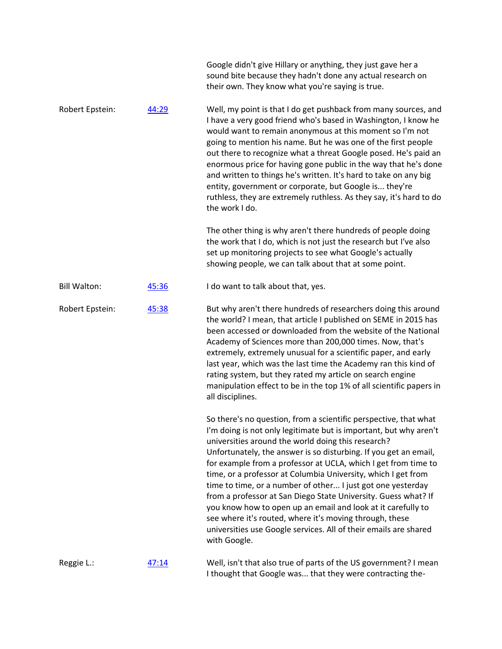|                     |       | Google didn't give Hillary or anything, they just gave her a<br>sound bite because they hadn't done any actual research on<br>their own. They know what you're saying is true.                                                                                                                                                                                                                                                                                                                                                                                                                                                                                                                                                                     |
|---------------------|-------|----------------------------------------------------------------------------------------------------------------------------------------------------------------------------------------------------------------------------------------------------------------------------------------------------------------------------------------------------------------------------------------------------------------------------------------------------------------------------------------------------------------------------------------------------------------------------------------------------------------------------------------------------------------------------------------------------------------------------------------------------|
| Robert Epstein:     | 44:29 | Well, my point is that I do get pushback from many sources, and<br>I have a very good friend who's based in Washington, I know he<br>would want to remain anonymous at this moment so I'm not<br>going to mention his name. But he was one of the first people<br>out there to recognize what a threat Google posed. He's paid an<br>enormous price for having gone public in the way that he's done<br>and written to things he's written. It's hard to take on any big<br>entity, government or corporate, but Google is they're<br>ruthless, they are extremely ruthless. As they say, it's hard to do<br>the work I do.                                                                                                                        |
|                     |       | The other thing is why aren't there hundreds of people doing<br>the work that I do, which is not just the research but I've also<br>set up monitoring projects to see what Google's actually<br>showing people, we can talk about that at some point.                                                                                                                                                                                                                                                                                                                                                                                                                                                                                              |
| <b>Bill Walton:</b> | 45:36 | I do want to talk about that, yes.                                                                                                                                                                                                                                                                                                                                                                                                                                                                                                                                                                                                                                                                                                                 |
| Robert Epstein:     | 45:38 | But why aren't there hundreds of researchers doing this around<br>the world? I mean, that article I published on SEME in 2015 has<br>been accessed or downloaded from the website of the National<br>Academy of Sciences more than 200,000 times. Now, that's<br>extremely, extremely unusual for a scientific paper, and early<br>last year, which was the last time the Academy ran this kind of<br>rating system, but they rated my article on search engine<br>manipulation effect to be in the top 1% of all scientific papers in<br>all disciplines.                                                                                                                                                                                         |
|                     |       | So there's no question, from a scientific perspective, that what<br>I'm doing is not only legitimate but is important, but why aren't<br>universities around the world doing this research?<br>Unfortunately, the answer is so disturbing. If you get an email,<br>for example from a professor at UCLA, which I get from time to<br>time, or a professor at Columbia University, which I get from<br>time to time, or a number of other I just got one yesterday<br>from a professor at San Diego State University. Guess what? If<br>you know how to open up an email and look at it carefully to<br>see where it's routed, where it's moving through, these<br>universities use Google services. All of their emails are shared<br>with Google. |
| Reggie L.:          | 47:14 | Well, isn't that also true of parts of the US government? I mean<br>I thought that Google was that they were contracting the-                                                                                                                                                                                                                                                                                                                                                                                                                                                                                                                                                                                                                      |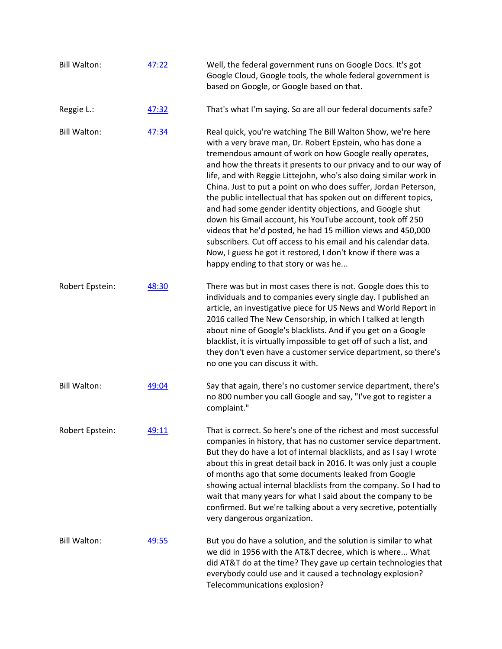| <b>Bill Walton:</b> | 47:22 | Well, the federal government runs on Google Docs. It's got<br>Google Cloud, Google tools, the whole federal government is<br>based on Google, or Google based on that.                                                                                                                                                                                                                                                                                                                                                                                                                                                                                                                                                                                                                                                                    |
|---------------------|-------|-------------------------------------------------------------------------------------------------------------------------------------------------------------------------------------------------------------------------------------------------------------------------------------------------------------------------------------------------------------------------------------------------------------------------------------------------------------------------------------------------------------------------------------------------------------------------------------------------------------------------------------------------------------------------------------------------------------------------------------------------------------------------------------------------------------------------------------------|
| Reggie L.:          | 47:32 | That's what I'm saying. So are all our federal documents safe?                                                                                                                                                                                                                                                                                                                                                                                                                                                                                                                                                                                                                                                                                                                                                                            |
| <b>Bill Walton:</b> | 47:34 | Real quick, you're watching The Bill Walton Show, we're here<br>with a very brave man, Dr. Robert Epstein, who has done a<br>tremendous amount of work on how Google really operates,<br>and how the threats it presents to our privacy and to our way of<br>life, and with Reggie Littejohn, who's also doing similar work in<br>China. Just to put a point on who does suffer, Jordan Peterson,<br>the public intellectual that has spoken out on different topics,<br>and had some gender identity objections, and Google shut<br>down his Gmail account, his YouTube account, took off 250<br>videos that he'd posted, he had 15 million views and 450,000<br>subscribers. Cut off access to his email and his calendar data.<br>Now, I guess he got it restored, I don't know if there was a<br>happy ending to that story or was he |
| Robert Epstein:     | 48:30 | There was but in most cases there is not. Google does this to<br>individuals and to companies every single day. I published an<br>article, an investigative piece for US News and World Report in<br>2016 called The New Censorship, in which I talked at length<br>about nine of Google's blacklists. And if you get on a Google<br>blacklist, it is virtually impossible to get off of such a list, and<br>they don't even have a customer service department, so there's<br>no one you can discuss it with.                                                                                                                                                                                                                                                                                                                            |
| <b>Bill Walton:</b> | 49:04 | Say that again, there's no customer service department, there's<br>no 800 number you call Google and say, "I've got to register a<br>complaint."                                                                                                                                                                                                                                                                                                                                                                                                                                                                                                                                                                                                                                                                                          |
| Robert Epstein:     | 49:11 | That is correct. So here's one of the richest and most successful<br>companies in history, that has no customer service department.<br>But they do have a lot of internal blacklists, and as I say I wrote<br>about this in great detail back in 2016. It was only just a couple<br>of months ago that some documents leaked from Google<br>showing actual internal blacklists from the company. So I had to<br>wait that many years for what I said about the company to be<br>confirmed. But we're talking about a very secretive, potentially<br>very dangerous organization.                                                                                                                                                                                                                                                          |
| <b>Bill Walton:</b> | 49:55 | But you do have a solution, and the solution is similar to what<br>we did in 1956 with the AT&T decree, which is where What<br>did AT&T do at the time? They gave up certain technologies that<br>everybody could use and it caused a technology explosion?<br>Telecommunications explosion?                                                                                                                                                                                                                                                                                                                                                                                                                                                                                                                                              |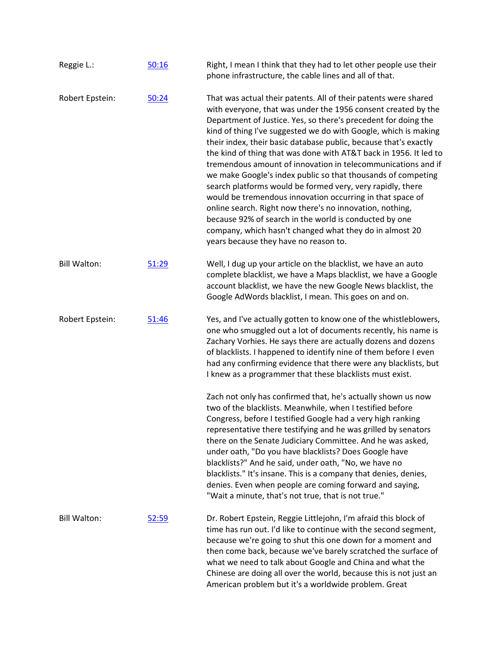| Reggie L.:          | 50:16 | Right, I mean I think that they had to let other people use their<br>phone infrastructure, the cable lines and all of that.                                                                                                                                                                                                                                                                                                                                                                                                                                                                                                                                                                                                                                                                                                                                                                         |
|---------------------|-------|-----------------------------------------------------------------------------------------------------------------------------------------------------------------------------------------------------------------------------------------------------------------------------------------------------------------------------------------------------------------------------------------------------------------------------------------------------------------------------------------------------------------------------------------------------------------------------------------------------------------------------------------------------------------------------------------------------------------------------------------------------------------------------------------------------------------------------------------------------------------------------------------------------|
| Robert Epstein:     | 50:24 | That was actual their patents. All of their patents were shared<br>with everyone, that was under the 1956 consent created by the<br>Department of Justice. Yes, so there's precedent for doing the<br>kind of thing I've suggested we do with Google, which is making<br>their index, their basic database public, because that's exactly<br>the kind of thing that was done with AT&T back in 1956. It led to<br>tremendous amount of innovation in telecommunications and if<br>we make Google's index public so that thousands of competing<br>search platforms would be formed very, very rapidly, there<br>would be tremendous innovation occurring in that space of<br>online search. Right now there's no innovation, nothing,<br>because 92% of search in the world is conducted by one<br>company, which hasn't changed what they do in almost 20<br>years because they have no reason to. |
| <b>Bill Walton:</b> | 51:29 | Well, I dug up your article on the blacklist, we have an auto<br>complete blacklist, we have a Maps blacklist, we have a Google<br>account blacklist, we have the new Google News blacklist, the<br>Google AdWords blacklist, I mean. This goes on and on.                                                                                                                                                                                                                                                                                                                                                                                                                                                                                                                                                                                                                                          |
| Robert Epstein:     | 51:46 | Yes, and I've actually gotten to know one of the whistleblowers,<br>one who smuggled out a lot of documents recently, his name is<br>Zachary Vorhies. He says there are actually dozens and dozens<br>of blacklists. I happened to identify nine of them before I even<br>had any confirming evidence that there were any blacklists, but<br>I knew as a programmer that these blacklists must exist.                                                                                                                                                                                                                                                                                                                                                                                                                                                                                               |
|                     |       | Zach not only has confirmed that, he's actually shown us now<br>two of the blacklists. Meanwhile, when I testified before<br>Congress, before I testified Google had a very high ranking<br>representative there testifying and he was grilled by senators<br>there on the Senate Judiciary Committee. And he was asked,<br>under oath, "Do you have blacklists? Does Google have<br>blacklists?" And he said, under oath, "No, we have no<br>blacklists." It's insane. This is a company that denies, denies,<br>denies. Even when people are coming forward and saying,<br>"Wait a minute, that's not true, that is not true."                                                                                                                                                                                                                                                                    |
| <b>Bill Walton:</b> | 52:59 | Dr. Robert Epstein, Reggie Littlejohn, I'm afraid this block of<br>time has run out. I'd like to continue with the second segment,<br>because we're going to shut this one down for a moment and<br>then come back, because we've barely scratched the surface of<br>what we need to talk about Google and China and what the<br>Chinese are doing all over the world, because this is not just an<br>American problem but it's a worldwide problem. Great                                                                                                                                                                                                                                                                                                                                                                                                                                          |